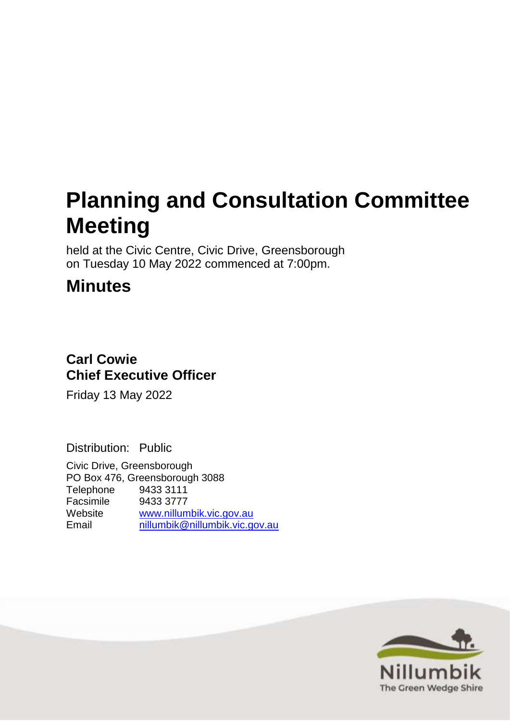# **Planning and Consultation Committee Meeting**

held at the Civic Centre, Civic Drive, Greensborough on Tuesday 10 May 2022 commenced at 7:00pm.

# **Minutes**

# **Carl Cowie Chief Executive Officer**

Friday 13 May 2022

Distribution: Public

Civic Drive, Greensborough PO Box 476, Greensborough 3088 Telephone 9433 3111 Facsimile 9433 3777 Website <u>[www.nillumbik.vic.gov.au](http://www.nillumbik.vic.gov.au/)</u> [nillumbik@nillumbik.vic.gov.au](mailto:nillumbik@nillumbik.vic.gov.au)

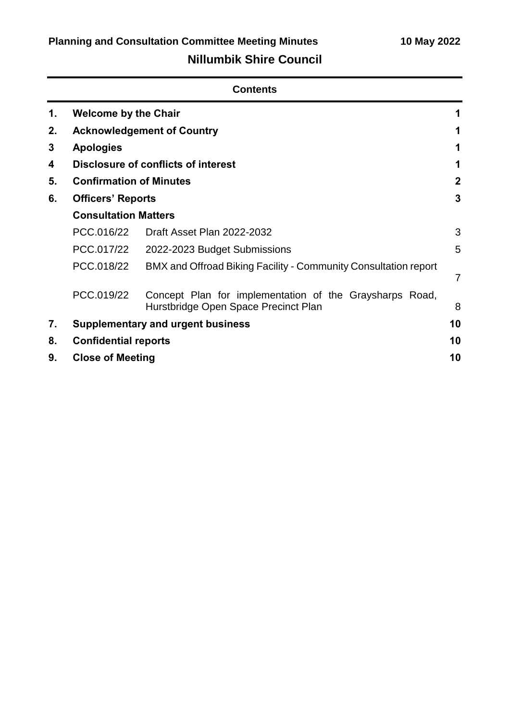|    | <b>Contents</b>                          |                                                                                                 |                |  |  |
|----|------------------------------------------|-------------------------------------------------------------------------------------------------|----------------|--|--|
| 1. | <b>Welcome by the Chair</b>              |                                                                                                 |                |  |  |
| 2. |                                          | <b>Acknowledgement of Country</b>                                                               |                |  |  |
| 3  | <b>Apologies</b>                         |                                                                                                 |                |  |  |
| 4  |                                          | <b>Disclosure of conflicts of interest</b>                                                      |                |  |  |
| 5. | <b>Confirmation of Minutes</b>           |                                                                                                 | $\mathbf{2}$   |  |  |
| 6. | <b>Officers' Reports</b>                 |                                                                                                 | 3              |  |  |
|    | <b>Consultation Matters</b>              |                                                                                                 |                |  |  |
|    | PCC.016/22                               | Draft Asset Plan 2022-2032                                                                      | 3              |  |  |
|    | PCC.017/22                               | 2022-2023 Budget Submissions                                                                    | 5              |  |  |
|    | PCC.018/22                               | BMX and Offroad Biking Facility - Community Consultation report                                 | $\overline{7}$ |  |  |
|    | PCC.019/22                               | Concept Plan for implementation of the Graysharps Road,<br>Hurstbridge Open Space Precinct Plan | 8              |  |  |
| 7. | <b>Supplementary and urgent business</b> |                                                                                                 | 10             |  |  |
| 8. | <b>Confidential reports</b>              |                                                                                                 | 10             |  |  |
| 9. | <b>Close of Meeting</b>                  |                                                                                                 | 10             |  |  |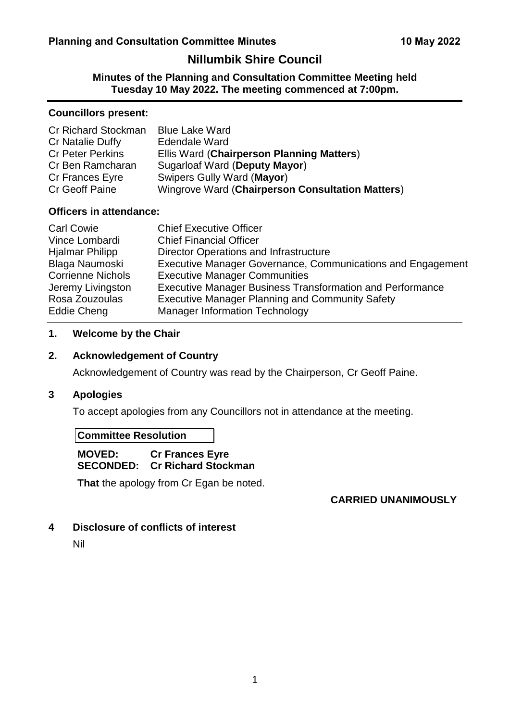# **Nillumbik Shire Council**

**Minutes of the Planning and Consultation Committee Meeting held Tuesday 10 May 2022. The meeting commenced at 7:00pm.**

#### **Councillors present:**

| Cr Richard Stockman     | <b>Blue Lake Ward</b>                            |
|-------------------------|--------------------------------------------------|
| Cr Natalie Duffy        | Edendale Ward                                    |
| <b>Cr Peter Perkins</b> | Ellis Ward (Chairperson Planning Matters)        |
| Cr Ben Ramcharan        | Sugarloaf Ward (Deputy Mayor)                    |
| Cr Frances Eyre         | Swipers Gully Ward (Mayor)                       |
| Cr Geoff Paine          | Wingrove Ward (Chairperson Consultation Matters) |

# **Officers in attendance:**

| <b>Carl Cowie</b>        | <b>Chief Executive Officer</b>                                   |
|--------------------------|------------------------------------------------------------------|
| Vince Lombardi           | <b>Chief Financial Officer</b>                                   |
| <b>Hjalmar Philipp</b>   | Director Operations and Infrastructure                           |
| Blaga Naumoski           | Executive Manager Governance, Communications and Engagement      |
| <b>Corrienne Nichols</b> | <b>Executive Manager Communities</b>                             |
| Jeremy Livingston        | <b>Executive Manager Business Transformation and Performance</b> |
| Rosa Zouzoulas           | <b>Executive Manager Planning and Community Safety</b>           |
| Eddie Cheng              | <b>Manager Information Technology</b>                            |

# <span id="page-2-0"></span>**1. Welcome by the Chair**

# <span id="page-2-1"></span>**2. Acknowledgement of Country**

Acknowledgement of Country was read by the Chairperson, Cr Geoff Paine.

# <span id="page-2-2"></span>**3 Apologies**

To accept apologies from any Councillors not in attendance at the meeting.

# **Committee Resolution**

# **MOVED: Cr Frances Eyre SECONDED: Cr Richard Stockman**

**That** the apology from Cr Egan be noted.

# **CARRIED UNANIMOUSLY**

# <span id="page-2-3"></span>**4 Disclosure of conflicts of interest**

Nil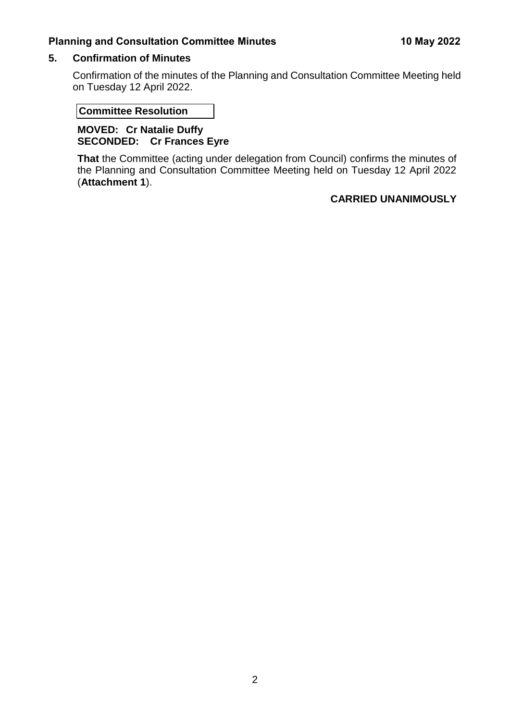# <span id="page-3-0"></span>**5. Confirmation of Minutes**

Confirmation of the minutes of the Planning and Consultation Committee Meeting held on Tuesday 12 April 2022.

# **Committee Resolution**

# **MOVED: Cr Natalie Duffy SECONDED: Cr Frances Eyre**

**That** the Committee (acting under delegation from Council) confirms the minutes of the Planning and Consultation Committee Meeting held on Tuesday 12 April 2022 (**Attachment 1**).

# **CARRIED UNANIMOUSLY**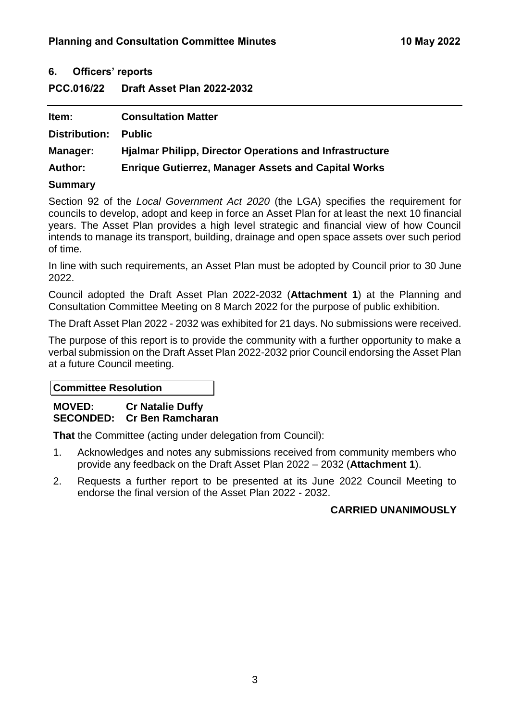# <span id="page-4-0"></span>**6. Officers' reports**

# <span id="page-4-1"></span>**PCC.016/22 Draft Asset Plan 2022-2032**

| Item:          | <b>Consultation Matter</b>                                     |
|----------------|----------------------------------------------------------------|
| Distribution:  | <b>Public</b>                                                  |
| Manager:       | <b>Hjalmar Philipp, Director Operations and Infrastructure</b> |
| <b>Author:</b> | <b>Enrique Gutierrez, Manager Assets and Capital Works</b>     |

# **Summary**

Section 92 of the *Local Government Act 2020* (the LGA) specifies the requirement for councils to develop, adopt and keep in force an Asset Plan for at least the next 10 financial years. The Asset Plan provides a high level strategic and financial view of how Council intends to manage its transport, building, drainage and open space assets over such period of time.

In line with such requirements, an Asset Plan must be adopted by Council prior to 30 June 2022.

Council adopted the Draft Asset Plan 2022-2032 (**Attachment 1**) at the Planning and Consultation Committee Meeting on 8 March 2022 for the purpose of public exhibition.

The Draft Asset Plan 2022 - 2032 was exhibited for 21 days. No submissions were received.

The purpose of this report is to provide the community with a further opportunity to make a verbal submission on the Draft Asset Plan 2022-2032 prior Council endorsing the Asset Plan at a future Council meeting.

**Committee Resolution**

**MOVED: Cr Natalie Duffy SECONDED: Cr Ben Ramcharan** 

**That** the Committee (acting under delegation from Council):

- 1. Acknowledges and notes any submissions received from community members who provide any feedback on the Draft Asset Plan 2022 – 2032 (**Attachment 1**).
- 2. Requests a further report to be presented at its June 2022 Council Meeting to endorse the final version of the Asset Plan 2022 - 2032.

# **CARRIED UNANIMOUSLY**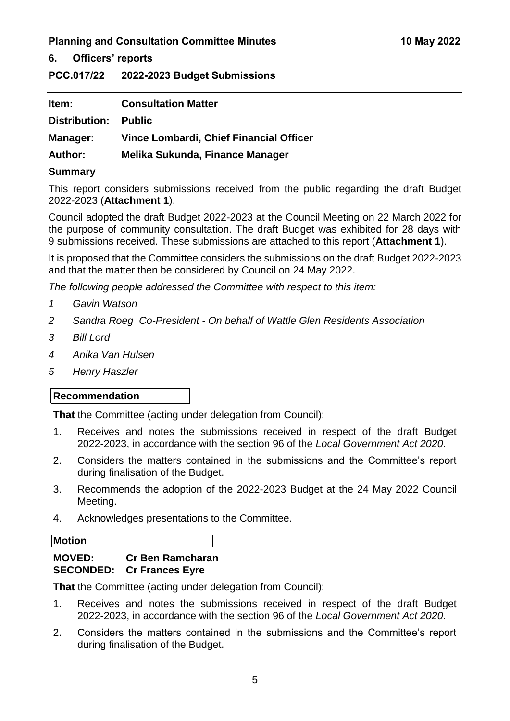#### **6. Officers' reports**

<span id="page-5-0"></span>**PCC.017/22 2022-2023 Budget Submissions**

| ltem:                       | <b>Consultation Matter</b>              |
|-----------------------------|-----------------------------------------|
| <b>Distribution: Public</b> |                                         |
| Manager:                    | Vince Lombardi, Chief Financial Officer |
| <b>Author:</b>              | Melika Sukunda, Finance Manager         |
|                             |                                         |

#### **Summary**

This report considers submissions received from the public regarding the draft Budget 2022-2023 (**Attachment 1**).

Council adopted the draft Budget 2022-2023 at the Council Meeting on 22 March 2022 for the purpose of community consultation. The draft Budget was exhibited for 28 days with 9 submissions received. These submissions are attached to this report (**Attachment 1**).

It is proposed that the Committee considers the submissions on the draft Budget 2022-2023 and that the matter then be considered by Council on 24 May 2022.

*The following people addressed the Committee with respect to this item:*

- *1 Gavin Watson*
- *2 Sandra Roeg Co-President - On behalf of Wattle Glen Residents Association*
- *3 Bill Lord*
- *4 Anika Van Hulsen*
- *5 Henry Haszler*

#### **Recommendation**

**That** the Committee (acting under delegation from Council):

- 1. Receives and notes the submissions received in respect of the draft Budget 2022-2023, in accordance with the section 96 of the *Local Government Act 2020*.
- 2. Considers the matters contained in the submissions and the Committee's report during finalisation of the Budget.
- 3. Recommends the adoption of the 2022-2023 Budget at the 24 May 2022 Council Meeting.
- 4. Acknowledges presentations to the Committee.

#### **Motion**

# **MOVED: Cr Ben Ramcharan SECONDED: Cr Frances Eyre**

**That** the Committee (acting under delegation from Council):

- 1. Receives and notes the submissions received in respect of the draft Budget 2022-2023, in accordance with the section 96 of the *Local Government Act 2020*.
- 2. Considers the matters contained in the submissions and the Committee's report during finalisation of the Budget.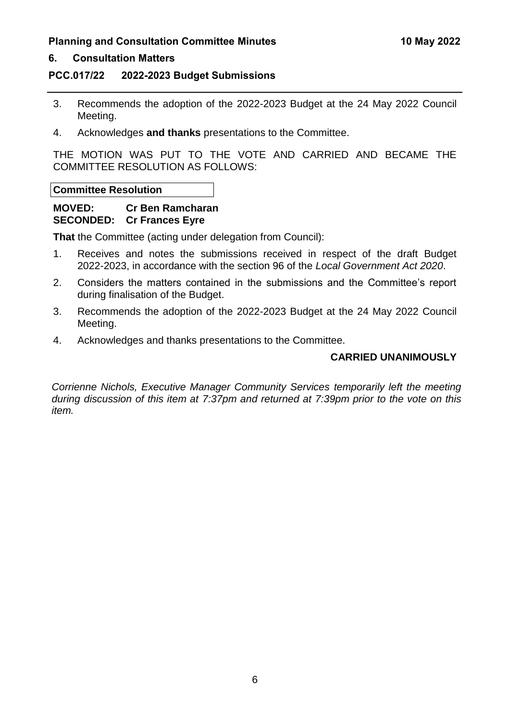#### **6. Consultation Matters**

#### **PCC.017/22 2022-2023 Budget Submissions**

- 3. Recommends the adoption of the 2022-2023 Budget at the 24 May 2022 Council Meeting.
- 4. Acknowledges **and thanks** presentations to the Committee.

THE MOTION WAS PUT TO THE VOTE AND CARRIED AND BECAME THE COMMITTEE RESOLUTION AS FOLLOWS:

**Committee Resolution**

# **MOVED: Cr Ben Ramcharan SECONDED: Cr Frances Eyre**

**That** the Committee (acting under delegation from Council):

- 1. Receives and notes the submissions received in respect of the draft Budget 2022-2023, in accordance with the section 96 of the *Local Government Act 2020*.
- 2. Considers the matters contained in the submissions and the Committee's report during finalisation of the Budget.
- 3. Recommends the adoption of the 2022-2023 Budget at the 24 May 2022 Council Meeting.
- 4. Acknowledges and thanks presentations to the Committee.

# **CARRIED UNANIMOUSLY**

*Corrienne Nichols, Executive Manager Community Services temporarily left the meeting during discussion of this item at 7:37pm and returned at 7:39pm prior to the vote on this item.*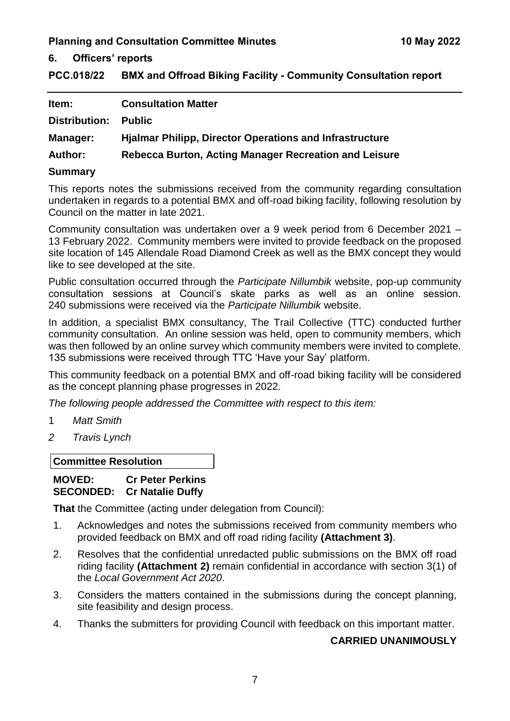**6. Officers' reports**

<span id="page-7-0"></span>**PCC.018/22 BMX and Offroad Biking Facility - Community Consultation report**

| Item:           | <b>Consultation Matter</b>                                     |
|-----------------|----------------------------------------------------------------|
| Distribution:   | <b>Public</b>                                                  |
| <b>Manager:</b> | <b>Hialmar Philipp, Director Operations and Infrastructure</b> |
| <b>Author:</b>  | Rebecca Burton, Acting Manager Recreation and Leisure          |
| $\blacksquare$  |                                                                |

#### **Summary**

This reports notes the submissions received from the community regarding consultation undertaken in regards to a potential BMX and off-road biking facility, following resolution by Council on the matter in late 2021.

Community consultation was undertaken over a 9 week period from 6 December 2021 – 13 February 2022. Community members were invited to provide feedback on the proposed site location of 145 Allendale Road Diamond Creek as well as the BMX concept they would like to see developed at the site.

Public consultation occurred through the *Participate Nillumbik* website, pop-up community consultation sessions at Council's skate parks as well as an online session. 240 submissions were received via the *Participate Nillumbik* website.

In addition, a specialist BMX consultancy, The Trail Collective (TTC) conducted further community consultation. An online session was held, open to community members, which was then followed by an online survey which community members were invited to complete. 135 submissions were received through TTC 'Have your Say' platform.

This community feedback on a potential BMX and off-road biking facility will be considered as the concept planning phase progresses in 2022.

*The following people addressed the Committee with respect to this item:*

- 1 *Matt Smith*
- *2 Travis Lynch*

**Committee Resolution**

#### **MOVED: Cr Peter Perkins SECONDED: Cr Natalie Duffy**

**That** the Committee (acting under delegation from Council):

- 1. Acknowledges and notes the submissions received from community members who provided feedback on BMX and off road riding facility **(Attachment 3)**.
- 2. Resolves that the confidential unredacted public submissions on the BMX off road riding facility **(Attachment 2)** remain confidential in accordance with section 3(1) of the *Local Government Act 2020*.
- 3. Considers the matters contained in the submissions during the concept planning, site feasibility and design process.
- 4. Thanks the submitters for providing Council with feedback on this important matter.

# **CARRIED UNANIMOUSLY**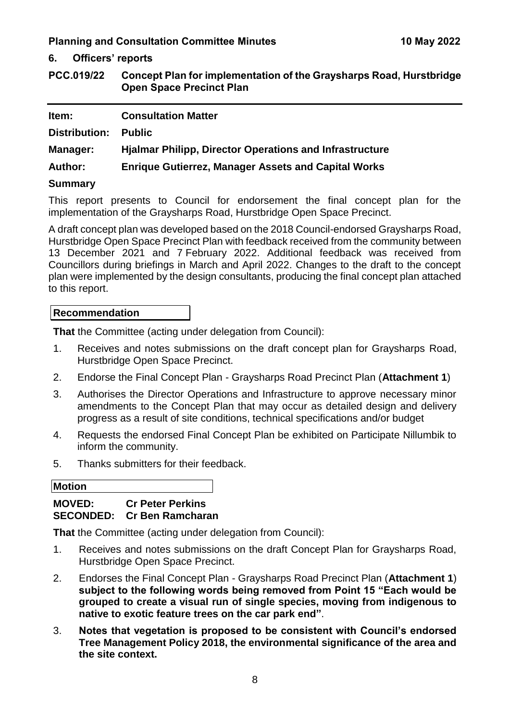**6. Officers' reports**

<span id="page-8-0"></span>**PCC.019/22 Concept Plan for implementation of the Graysharps Road, Hurstbridge Open Space Precinct Plan**

| Item:           | <b>Consultation Matter</b>                                     |
|-----------------|----------------------------------------------------------------|
| Distribution:   | <b>Public</b>                                                  |
| <b>Manager:</b> | <b>Hialmar Philipp, Director Operations and Infrastructure</b> |
| <b>Author:</b>  | <b>Enrique Gutierrez, Manager Assets and Capital Works</b>     |
| <b>Summary</b>  |                                                                |

This report presents to Council for endorsement the final concept plan for the implementation of the Graysharps Road, Hurstbridge Open Space Precinct.

A draft concept plan was developed based on the 2018 Council-endorsed Graysharps Road, Hurstbridge Open Space Precinct Plan with feedback received from the community between 13 December 2021 and 7 February 2022. Additional feedback was received from Councillors during briefings in March and April 2022. Changes to the draft to the concept plan were implemented by the design consultants, producing the final concept plan attached to this report.

#### **Recommendation**

**That** the Committee (acting under delegation from Council):

- 1. Receives and notes submissions on the draft concept plan for Graysharps Road, Hurstbridge Open Space Precinct.
- 2. Endorse the Final Concept Plan Graysharps Road Precinct Plan (**Attachment 1**)
- 3. Authorises the Director Operations and Infrastructure to approve necessary minor amendments to the Concept Plan that may occur as detailed design and delivery progress as a result of site conditions, technical specifications and/or budget
- 4. Requests the endorsed Final Concept Plan be exhibited on Participate Nillumbik to inform the community.
- 5. Thanks submitters for their feedback.

**Motion**

# **MOVED: Cr Peter Perkins SECONDED: Cr Ben Ramcharan**

**That** the Committee (acting under delegation from Council):

- 1. Receives and notes submissions on the draft Concept Plan for Graysharps Road, Hurstbridge Open Space Precinct.
- 2. Endorses the Final Concept Plan Graysharps Road Precinct Plan (**Attachment 1**) **subject to the following words being removed from Point 15 "Each would be grouped to create a visual run of single species, moving from indigenous to native to exotic feature trees on the car park end"**.
- 3. **Notes that vegetation is proposed to be consistent with Council's endorsed Tree Management Policy 2018, the environmental significance of the area and the site context.**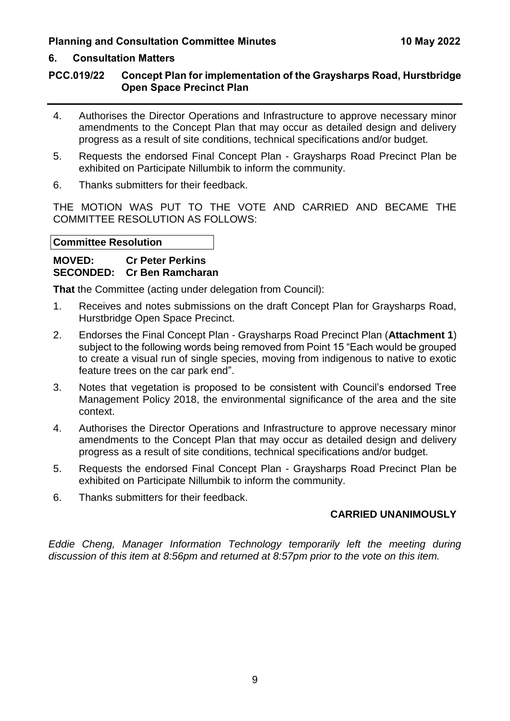# **6. Consultation Matters**

# **PCC.019/22 Concept Plan for implementation of the Graysharps Road, Hurstbridge Open Space Precinct Plan**

- 4. Authorises the Director Operations and Infrastructure to approve necessary minor amendments to the Concept Plan that may occur as detailed design and delivery progress as a result of site conditions, technical specifications and/or budget.
- 5. Requests the endorsed Final Concept Plan Graysharps Road Precinct Plan be exhibited on Participate Nillumbik to inform the community.
- 6. Thanks submitters for their feedback.

THE MOTION WAS PUT TO THE VOTE AND CARRIED AND BECAME THE COMMITTEE RESOLUTION AS FOLLOWS:

# **Committee Resolution**

# **MOVED: Cr Peter Perkins SECONDED: Cr Ben Ramcharan**

**That** the Committee (acting under delegation from Council):

- 1. Receives and notes submissions on the draft Concept Plan for Graysharps Road, Hurstbridge Open Space Precinct.
- 2. Endorses the Final Concept Plan Graysharps Road Precinct Plan (**Attachment 1**) subject to the following words being removed from Point 15 "Each would be grouped to create a visual run of single species, moving from indigenous to native to exotic feature trees on the car park end".
- 3. Notes that vegetation is proposed to be consistent with Council's endorsed Tree Management Policy 2018, the environmental significance of the area and the site context.
- 4. Authorises the Director Operations and Infrastructure to approve necessary minor amendments to the Concept Plan that may occur as detailed design and delivery progress as a result of site conditions, technical specifications and/or budget.
- 5. Requests the endorsed Final Concept Plan Graysharps Road Precinct Plan be exhibited on Participate Nillumbik to inform the community.
- 6. Thanks submitters for their feedback.

# **CARRIED UNANIMOUSLY**

*Eddie Cheng, Manager Information Technology temporarily left the meeting during discussion of this item at 8:56pm and returned at 8:57pm prior to the vote on this item.*